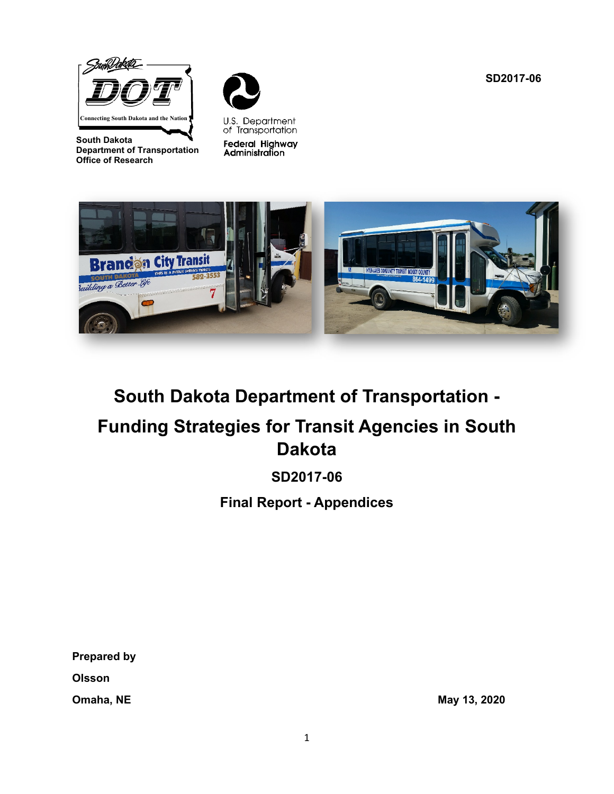

**South Dakota Department of Transportation Office of Research**





# **South Dakota Department of Transportation -**

# **Funding Strategies for Transit Agencies in South Dakota**

## **SD2017-06**

**Final Report - Appendices**

**Prepared by**

**Olsson** 

**Omaha, NE May 13, 2020**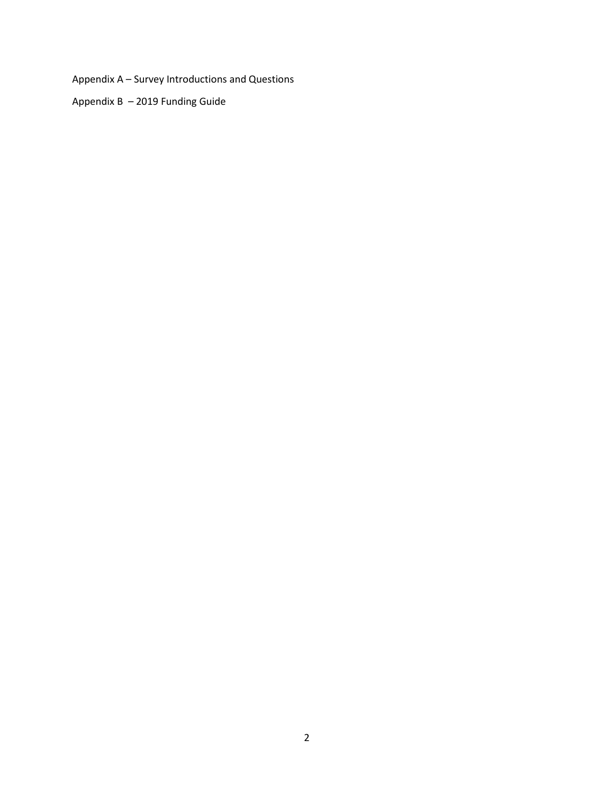Appendix A – Survey Introductions and Questions

Appendix B – 2019 Funding Guide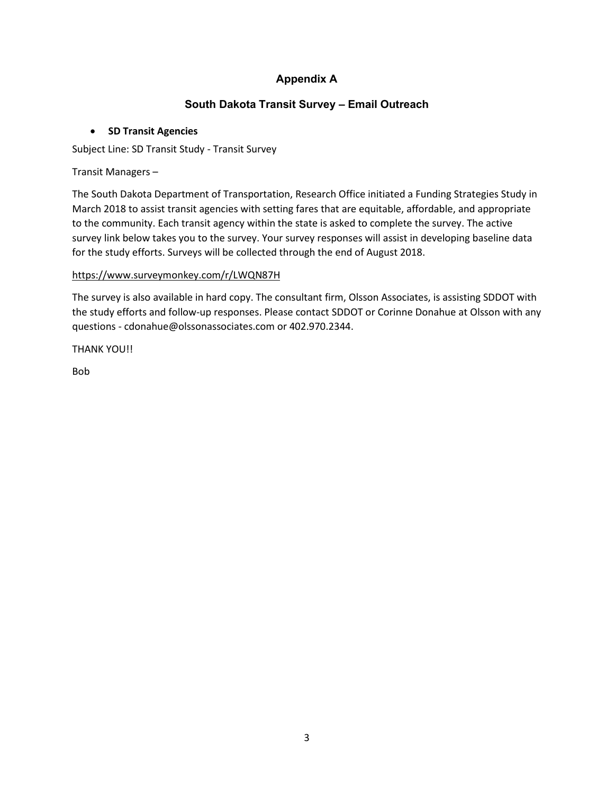## **Appendix A**

## **South Dakota Transit Survey – Email Outreach**

#### • **SD Transit Agencies**

Subject Line: SD Transit Study - Transit Survey

Transit Managers –

The South Dakota Department of Transportation, Research Office initiated a Funding Strategies Study in March 2018 to assist transit agencies with setting fares that are equitable, affordable, and appropriate to the community. Each transit agency within the state is asked to complete the survey. The active survey link below takes you to the survey. Your survey responses will assist in developing baseline data for the study efforts. Surveys will be collected through the end of August 2018.

## <https://www.surveymonkey.com/r/LWQN87H>

The survey is also available in hard copy. The consultant firm, Olsson Associates, is assisting SDDOT with the study efforts and follow-up responses. Please contact SDDOT or Corinne Donahue at Olsson with any questions - cdonahue@olssonassociates.com or 402.970.2344.

THANK YOU!!

Bob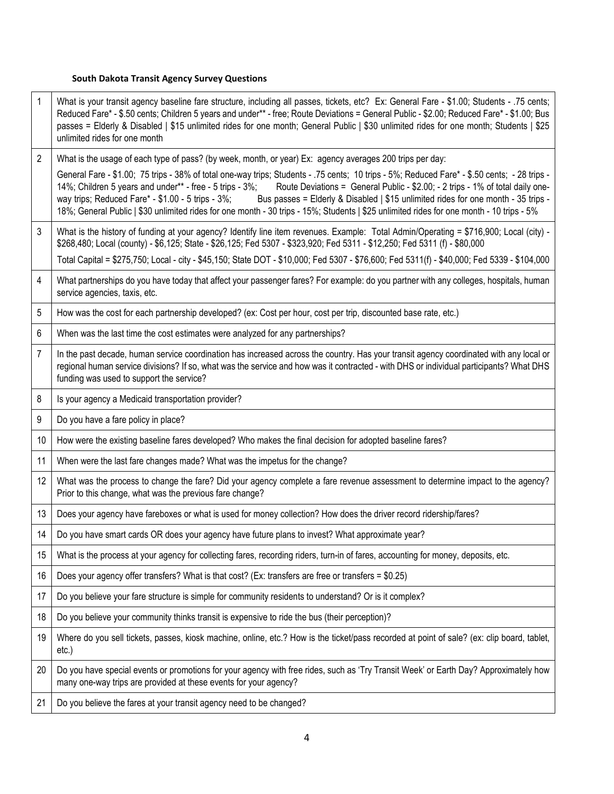## **South Dakota Transit Agency Survey Questions**

| $\mathbf{1}$   | What is your transit agency baseline fare structure, including all passes, tickets, etc? Ex: General Fare - \$1.00; Students - .75 cents;<br>Reduced Fare* - \$.50 cents; Children 5 years and under** - free; Route Deviations = General Public - \$2.00; Reduced Fare* - \$1.00; Bus<br>passes = Elderly & Disabled   \$15 unlimited rides for one month; General Public   \$30 unlimited rides for one month; Students   \$25<br>unlimited rides for one month                                                                                                                |
|----------------|----------------------------------------------------------------------------------------------------------------------------------------------------------------------------------------------------------------------------------------------------------------------------------------------------------------------------------------------------------------------------------------------------------------------------------------------------------------------------------------------------------------------------------------------------------------------------------|
| $\overline{2}$ | What is the usage of each type of pass? (by week, month, or year) Ex: agency averages 200 trips per day:                                                                                                                                                                                                                                                                                                                                                                                                                                                                         |
|                | General Fare - \$1.00; 75 trips - 38% of total one-way trips; Students - .75 cents; 10 trips - 5%; Reduced Fare* - \$.50 cents; - 28 trips -<br>14%; Children 5 years and under** - free - 5 trips - 3%;<br>Route Deviations = General Public - \$2.00; - 2 trips - 1% of total daily one-<br>way trips; Reduced Fare* - \$1.00 - 5 trips - 3%;<br>Bus passes = Elderly & Disabled   \$15 unlimited rides for one month - 35 trips -<br>18%; General Public   \$30 unlimited rides for one month - 30 trips - 15%; Students   \$25 unlimited rides for one month - 10 trips - 5% |
| 3              | What is the history of funding at your agency? Identify line item revenues. Example: Total Admin/Operating = \$716,900; Local (city) -<br>\$268,480; Local (county) - \$6,125; State - \$26,125; Fed 5307 - \$323,920; Fed 5311 - \$12,250; Fed 5311 (f) - \$80,000                                                                                                                                                                                                                                                                                                              |
|                | Total Capital = \$275,750; Local - city - \$45,150; State DOT - \$10,000; Fed 5307 - \$76,600; Fed 5311(f) - \$40,000; Fed 5339 - \$104,000                                                                                                                                                                                                                                                                                                                                                                                                                                      |
| 4              | What partnerships do you have today that affect your passenger fares? For example: do you partner with any colleges, hospitals, human<br>service agencies, taxis, etc.                                                                                                                                                                                                                                                                                                                                                                                                           |
| 5              | How was the cost for each partnership developed? (ex: Cost per hour, cost per trip, discounted base rate, etc.)                                                                                                                                                                                                                                                                                                                                                                                                                                                                  |
| 6              | When was the last time the cost estimates were analyzed for any partnerships?                                                                                                                                                                                                                                                                                                                                                                                                                                                                                                    |
| 7              | In the past decade, human service coordination has increased across the country. Has your transit agency coordinated with any local or<br>regional human service divisions? If so, what was the service and how was it contracted - with DHS or individual participants? What DHS<br>funding was used to support the service?                                                                                                                                                                                                                                                    |
| 8              | Is your agency a Medicaid transportation provider?                                                                                                                                                                                                                                                                                                                                                                                                                                                                                                                               |
| 9              | Do you have a fare policy in place?                                                                                                                                                                                                                                                                                                                                                                                                                                                                                                                                              |
| 10             | How were the existing baseline fares developed? Who makes the final decision for adopted baseline fares?                                                                                                                                                                                                                                                                                                                                                                                                                                                                         |
| 11             | When were the last fare changes made? What was the impetus for the change?                                                                                                                                                                                                                                                                                                                                                                                                                                                                                                       |
| 12             | What was the process to change the fare? Did your agency complete a fare revenue assessment to determine impact to the agency?<br>Prior to this change, what was the previous fare change?                                                                                                                                                                                                                                                                                                                                                                                       |
| 13             | Does your agency have fareboxes or what is used for money collection? How does the driver record ridership/fares?                                                                                                                                                                                                                                                                                                                                                                                                                                                                |
| 14             | Do you have smart cards OR does your agency have future plans to invest? What approximate year?                                                                                                                                                                                                                                                                                                                                                                                                                                                                                  |
| 15             | What is the process at your agency for collecting fares, recording riders, turn-in of fares, accounting for money, deposits, etc.                                                                                                                                                                                                                                                                                                                                                                                                                                                |
| 16             | Does your agency offer transfers? What is that cost? (Ex: transfers are free or transfers = \$0.25)                                                                                                                                                                                                                                                                                                                                                                                                                                                                              |
| 17             | Do you believe your fare structure is simple for community residents to understand? Or is it complex?                                                                                                                                                                                                                                                                                                                                                                                                                                                                            |
| 18             | Do you believe your community thinks transit is expensive to ride the bus (their perception)?                                                                                                                                                                                                                                                                                                                                                                                                                                                                                    |
| 19             | Where do you sell tickets, passes, kiosk machine, online, etc.? How is the ticket/pass recorded at point of sale? (ex: clip board, tablet,<br>$etc.$ )                                                                                                                                                                                                                                                                                                                                                                                                                           |
| 20             | Do you have special events or promotions for your agency with free rides, such as 'Try Transit Week' or Earth Day? Approximately how<br>many one-way trips are provided at these events for your agency?                                                                                                                                                                                                                                                                                                                                                                         |
| 21             | Do you believe the fares at your transit agency need to be changed?                                                                                                                                                                                                                                                                                                                                                                                                                                                                                                              |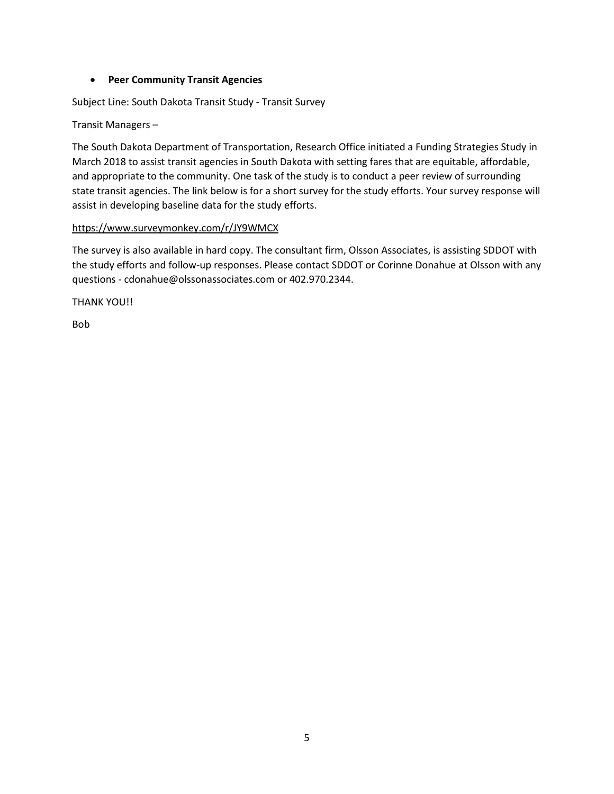#### • **Peer Community Transit Agencies**

Subject Line: South Dakota Transit Study - Transit Survey

Transit Managers –

The South Dakota Department of Transportation, Research Office initiated a Funding Strategies Study in March 2018 to assist transit agencies in South Dakota with setting fares that are equitable, affordable, and appropriate to the community. One task of the study is to conduct a peer review of surrounding state transit agencies. The link below is for a short survey for the study efforts. Your survey response will assist in developing baseline data for the study efforts.

## <https://www.surveymonkey.com/r/JY9WMCX>

The survey is also available in hard copy. The consultant firm, Olsson Associates, is assisting SDDOT with the study efforts and follow-up responses. Please contact SDDOT or Corinne Donahue at Olsson with any questions - cdonahue@olssonassociates.com or 402.970.2344.

THANK YOU!!

Bob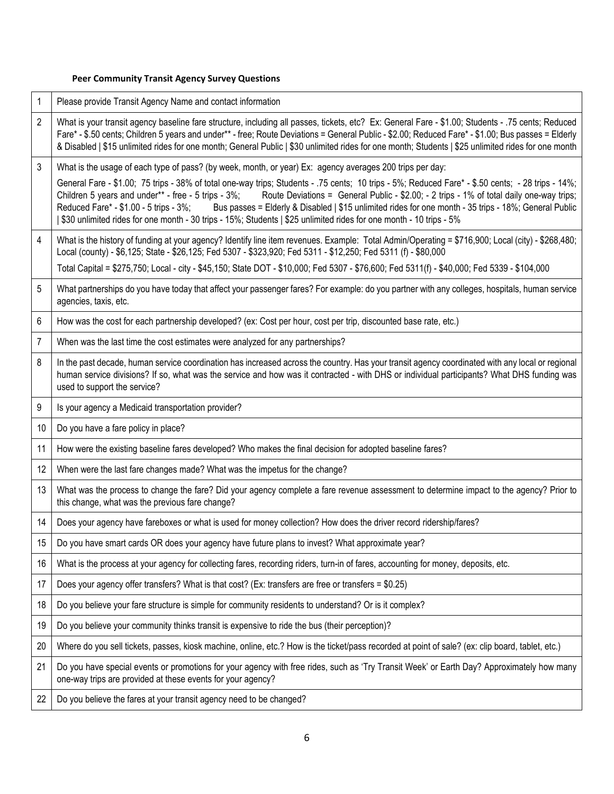## **Peer Community Transit Agency Survey Questions**

| 1               | Please provide Transit Agency Name and contact information                                                                                                                                                                                                                                                                                                                                                                                                                                                                                                                 |
|-----------------|----------------------------------------------------------------------------------------------------------------------------------------------------------------------------------------------------------------------------------------------------------------------------------------------------------------------------------------------------------------------------------------------------------------------------------------------------------------------------------------------------------------------------------------------------------------------------|
| 2               | What is your transit agency baseline fare structure, including all passes, tickets, etc? Ex: General Fare - \$1.00; Students - .75 cents; Reduced<br>Fare* - \$.50 cents; Children 5 years and under** - free; Route Deviations = General Public - \$2.00; Reduced Fare* - \$1.00; Bus passes = Elderly<br>& Disabled   \$15 unlimited rides for one month; General Public   \$30 unlimited rides for one month; Students   \$25 unlimited rides for one month                                                                                                             |
| 3               | What is the usage of each type of pass? (by week, month, or year) Ex: agency averages 200 trips per day:                                                                                                                                                                                                                                                                                                                                                                                                                                                                   |
|                 | General Fare - \$1.00; 75 trips - 38% of total one-way trips; Students - .75 cents; 10 trips - 5%; Reduced Fare* - \$.50 cents; - 28 trips - 14%;<br>Children 5 years and under** - free - 5 trips - 3%; Route Deviations = General Public - \$2.00; - 2 trips - 1% of total daily one-way trips;<br>Bus passes = Elderly & Disabled   \$15 unlimited rides for one month - 35 trips - 18%; General Public<br>Reduced Fare* - \$1.00 - 5 trips - 3%;<br>\$30 unlimited rides for one month - 30 trips - 15%; Students   \$25 unlimited rides for one month - 10 trips - 5% |
| 4               | What is the history of funding at your agency? Identify line item revenues. Example: Total Admin/Operating = \$716,900; Local (city) - \$268,480;<br>Local (county) - \$6,125; State - \$26,125; Fed 5307 - \$323,920; Fed 5311 - \$12,250; Fed 5311 (f) - \$80,000                                                                                                                                                                                                                                                                                                        |
|                 | Total Capital = \$275,750; Local - city - \$45,150; State DOT - \$10,000; Fed 5307 - \$76,600; Fed 5311(f) - \$40,000; Fed 5339 - \$104,000                                                                                                                                                                                                                                                                                                                                                                                                                                |
| 5               | What partnerships do you have today that affect your passenger fares? For example: do you partner with any colleges, hospitals, human service<br>agencies, taxis, etc.                                                                                                                                                                                                                                                                                                                                                                                                     |
| 6               | How was the cost for each partnership developed? (ex: Cost per hour, cost per trip, discounted base rate, etc.)                                                                                                                                                                                                                                                                                                                                                                                                                                                            |
| 7               | When was the last time the cost estimates were analyzed for any partnerships?                                                                                                                                                                                                                                                                                                                                                                                                                                                                                              |
| 8               | In the past decade, human service coordination has increased across the country. Has your transit agency coordinated with any local or regional<br>human service divisions? If so, what was the service and how was it contracted - with DHS or individual participants? What DHS funding was<br>used to support the service?                                                                                                                                                                                                                                              |
| 9               | Is your agency a Medicaid transportation provider?                                                                                                                                                                                                                                                                                                                                                                                                                                                                                                                         |
| 10 <sup>1</sup> | Do you have a fare policy in place?                                                                                                                                                                                                                                                                                                                                                                                                                                                                                                                                        |
| 11              | How were the existing baseline fares developed? Who makes the final decision for adopted baseline fares?                                                                                                                                                                                                                                                                                                                                                                                                                                                                   |
| 12              | When were the last fare changes made? What was the impetus for the change?                                                                                                                                                                                                                                                                                                                                                                                                                                                                                                 |
| 13              | What was the process to change the fare? Did your agency complete a fare revenue assessment to determine impact to the agency? Prior to<br>this change, what was the previous fare change?                                                                                                                                                                                                                                                                                                                                                                                 |
| 14              | Does your agency have fareboxes or what is used for money collection? How does the driver record ridership/fares?                                                                                                                                                                                                                                                                                                                                                                                                                                                          |
| 15              | Do you have smart cards OR does your agency have future plans to invest? What approximate year?                                                                                                                                                                                                                                                                                                                                                                                                                                                                            |
| 16              | What is the process at your agency for collecting fares, recording riders, turn-in of fares, accounting for money, deposits, etc.                                                                                                                                                                                                                                                                                                                                                                                                                                          |
| 17              | Does your agency offer transfers? What is that cost? (Ex: transfers are free or transfers = \$0.25)                                                                                                                                                                                                                                                                                                                                                                                                                                                                        |
| 18              | Do you believe your fare structure is simple for community residents to understand? Or is it complex?                                                                                                                                                                                                                                                                                                                                                                                                                                                                      |
| 19              | Do you believe your community thinks transit is expensive to ride the bus (their perception)?                                                                                                                                                                                                                                                                                                                                                                                                                                                                              |
| 20              | Where do you sell tickets, passes, kiosk machine, online, etc.? How is the ticket/pass recorded at point of sale? (ex: clip board, tablet, etc.)                                                                                                                                                                                                                                                                                                                                                                                                                           |
| 21              | Do you have special events or promotions for your agency with free rides, such as 'Try Transit Week' or Earth Day? Approximately how many<br>one-way trips are provided at these events for your agency?                                                                                                                                                                                                                                                                                                                                                                   |
| 22              | Do you believe the fares at your transit agency need to be changed?                                                                                                                                                                                                                                                                                                                                                                                                                                                                                                        |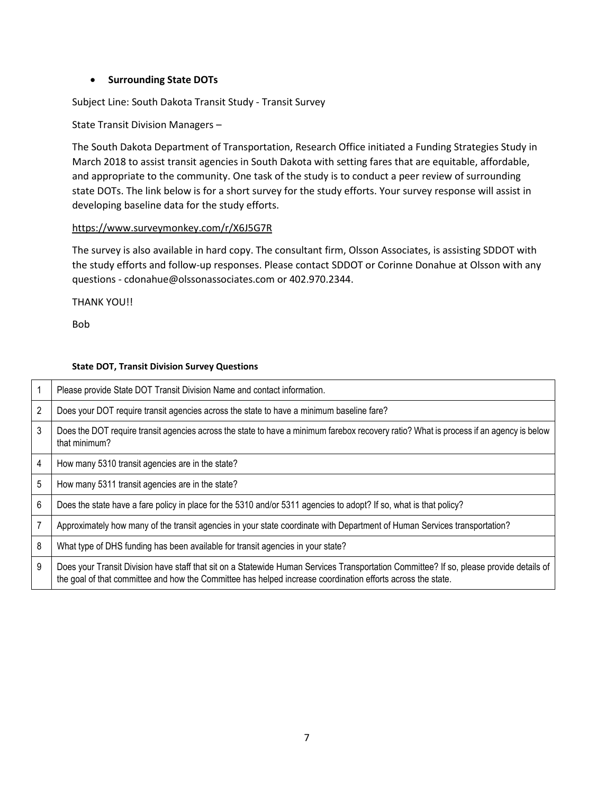#### • **Surrounding State DOTs**

Subject Line: South Dakota Transit Study - Transit Survey

State Transit Division Managers –

The South Dakota Department of Transportation, Research Office initiated a Funding Strategies Study in March 2018 to assist transit agencies in South Dakota with setting fares that are equitable, affordable, and appropriate to the community. One task of the study is to conduct a peer review of surrounding state DOTs. The link below is for a short survey for the study efforts. Your survey response will assist in developing baseline data for the study efforts.

#### <https://www.surveymonkey.com/r/X6J5G7R>

The survey is also available in hard copy. The consultant firm, Olsson Associates, is assisting SDDOT with the study efforts and follow-up responses. Please contact SDDOT or Corinne Donahue at Olsson with any questions - cdonahue@olssonassociates.com or 402.970.2344.

THANK YOU!!

Bob

| <b>State DOT, Transit Division Survey Questions</b> |  |  |  |
|-----------------------------------------------------|--|--|--|
|                                                     |  |  |  |

| $\mathbf 1$ | Please provide State DOT Transit Division Name and contact information.                                                                                                                                                                                |
|-------------|--------------------------------------------------------------------------------------------------------------------------------------------------------------------------------------------------------------------------------------------------------|
| 2           | Does your DOT require transit agencies across the state to have a minimum baseline fare?                                                                                                                                                               |
| 3           | Does the DOT require transit agencies across the state to have a minimum farebox recovery ratio? What is process if an agency is below<br>that minimum?                                                                                                |
| 4           | How many 5310 transit agencies are in the state?                                                                                                                                                                                                       |
| 5           | How many 5311 transit agencies are in the state?                                                                                                                                                                                                       |
| 6           | Does the state have a fare policy in place for the 5310 and/or 5311 agencies to adopt? If so, what is that policy?                                                                                                                                     |
| 7           | Approximately how many of the transit agencies in your state coordinate with Department of Human Services transportation?                                                                                                                              |
| 8           | What type of DHS funding has been available for transit agencies in your state?                                                                                                                                                                        |
| 9           | Does your Transit Division have staff that sit on a Statewide Human Services Transportation Committee? If so, please provide details of<br>the goal of that committee and how the Committee has helped increase coordination efforts across the state. |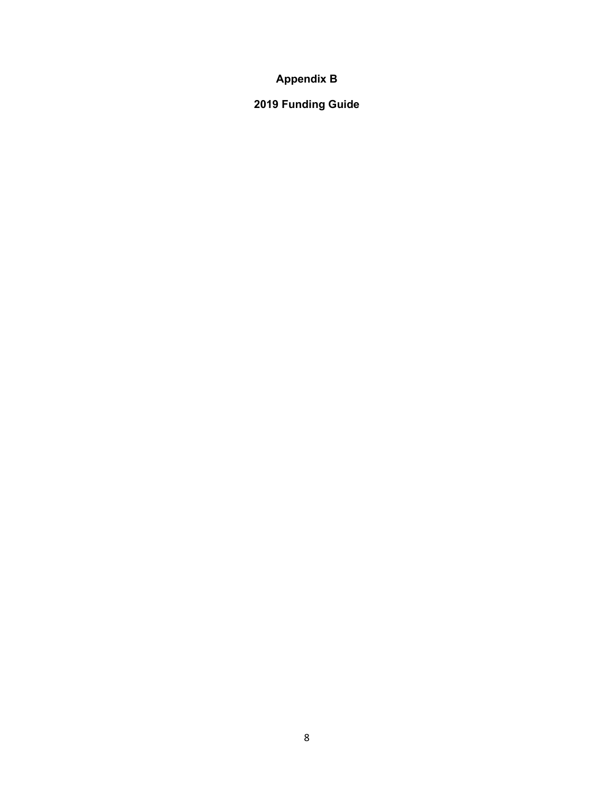## **Appendix B**

## **2019 Funding Guide**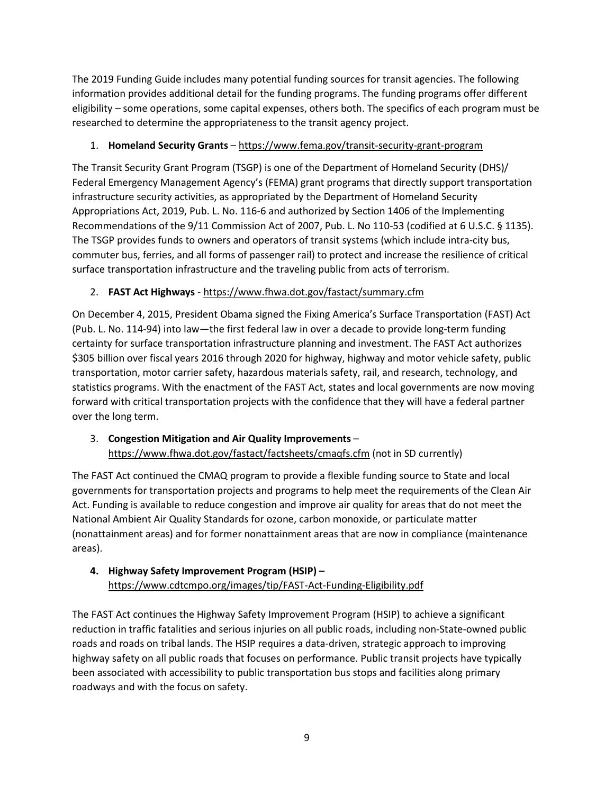The 2019 Funding Guide includes many potential funding sources for transit agencies. The following information provides additional detail for the funding programs. The funding programs offer different eligibility – some operations, some capital expenses, others both. The specifics of each program must be researched to determine the appropriateness to the transit agency project.

## 1. **Homeland Security Grants** – <https://www.fema.gov/transit-security-grant-program>

The Transit Security Grant Program (TSGP) is one of the Department of Homeland Security (DHS)/ Federal Emergency Management Agency's (FEMA) grant programs that directly support transportation infrastructure security activities, as appropriated by the Department of Homeland Security Appropriations Act, 2019, Pub. L. No. 116-6 and authorized by Section 1406 of the Implementing Recommendations of the 9/11 Commission Act of 2007, Pub. L. No 110-53 (codified at 6 U.S.C. § 1135). The TSGP provides funds to owners and operators of transit systems (which include intra-city bus, commuter bus, ferries, and all forms of passenger rail) to protect and increase the resilience of critical surface transportation infrastructure and the traveling public from acts of terrorism.

## 2. **FAST Act Highways** - <https://www.fhwa.dot.gov/fastact/summary.cfm>

On December 4, 2015, President Obama signed the Fixing America's Surface Transportation (FAST) Act (Pub. L. No. 114-94) into law—the first federal law in over a decade to provide long-term funding certainty for surface transportation infrastructure planning and investment. The FAST Act authorizes \$305 billion over fiscal years 2016 through 2020 for highway, highway and motor vehicle safety, public transportation, motor carrier safety, hazardous materials safety, rail, and research, technology, and statistics programs. With the enactment of the FAST Act, states and local governments are now moving forward with critical transportation projects with the confidence that they will have a federal partner over the long term.

## 3. **Congestion Mitigation and Air Quality Improvements** – <https://www.fhwa.dot.gov/fastact/factsheets/cmaqfs.cfm> (not in SD currently)

The FAST Act continued the CMAQ program to provide a flexible funding source to State and local governments for transportation projects and programs to help meet the requirements of the Clean Air Act. Funding is available to reduce congestion and improve air quality for areas that do not meet the National Ambient Air Quality Standards for ozone, carbon monoxide, or particulate matter (nonattainment areas) and for former nonattainment areas that are now in compliance (maintenance areas).

## **4. Highway Safety Improvement Program (HSIP) –**  <https://www.cdtcmpo.org/images/tip/FAST-Act-Funding-Eligibility.pdf>

The FAST Act continues the Highway Safety Improvement Program (HSIP) to achieve a significant reduction in traffic fatalities and serious injuries on all public roads, including non-State-owned public roads and roads on tribal lands. The HSIP requires a data-driven, strategic approach to improving highway safety on all public roads that focuses on performance. Public transit projects have typically been associated with accessibility to public transportation bus stops and facilities along primary roadways and with the focus on safety.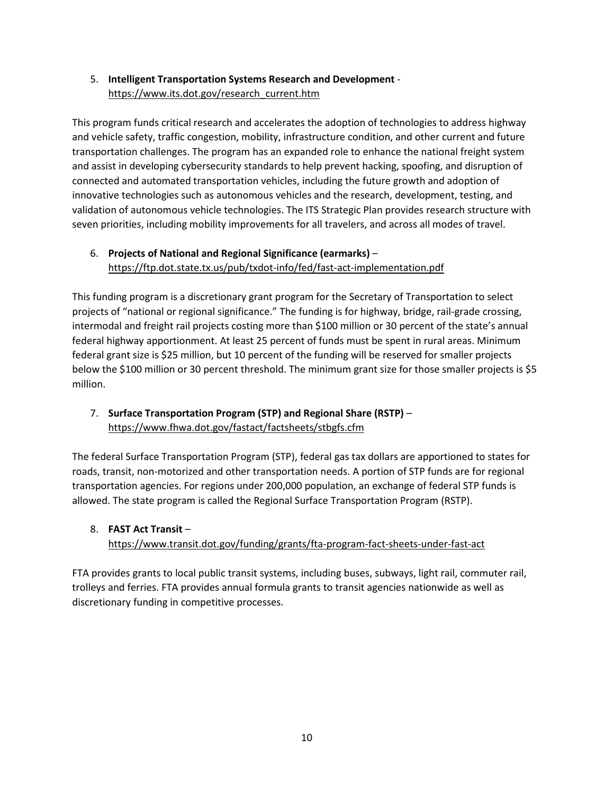## 5. **Intelligent Transportation Systems Research and Development** [https://www.its.dot.gov/research\\_current.htm](https://www.its.dot.gov/research_current.htm)

This program funds critical research and accelerates the adoption of technologies to address highway and vehicle safety, traffic congestion, mobility, infrastructure condition, and other current and future transportation challenges. The program has an expanded role to enhance the national freight system and assist in developing cybersecurity standards to help prevent hacking, spoofing, and disruption of connected and automated transportation vehicles, including the future growth and adoption of innovative technologies such as autonomous vehicles and the research, development, testing, and validation of autonomous vehicle technologies. The ITS Strategic Plan provides research structure with seven priorities, including mobility improvements for all travelers, and across all modes of travel.

## 6. **Projects of National and Regional Significance (earmarks)** – <https://ftp.dot.state.tx.us/pub/txdot-info/fed/fast-act-implementation.pdf>

This funding program is a discretionary grant program for the Secretary of Transportation to select projects of "national or regional significance." The funding is for highway, bridge, rail-grade crossing, intermodal and freight rail projects costing more than \$100 million or 30 percent of the state's annual federal highway apportionment. At least 25 percent of funds must be spent in rural areas. Minimum federal grant size is \$25 million, but 10 percent of the funding will be reserved for smaller projects below the \$100 million or 30 percent threshold. The minimum grant size for those smaller projects is \$5 million.

## 7. **Surface Transportation Program (STP) and Regional Share (RSTP)** – <https://www.fhwa.dot.gov/fastact/factsheets/stbgfs.cfm>

The federal Surface Transportation Program (STP), federal gas tax dollars are apportioned to states for roads, transit, non-motorized and other transportation needs. A portion of STP funds are for regional transportation agencies. For regions under 200,000 population, an exchange of federal STP funds is allowed. The state program is called the Regional Surface Transportation Program (RSTP).

#### 8. **FAST Act Transit** – <https://www.transit.dot.gov/funding/grants/fta-program-fact-sheets-under-fast-act>

FTA provides grants to local public transit systems, including buses, subways, light rail, commuter rail, trolleys and ferries. FTA provides annual formula grants to transit agencies nationwide as well as discretionary funding in competitive processes.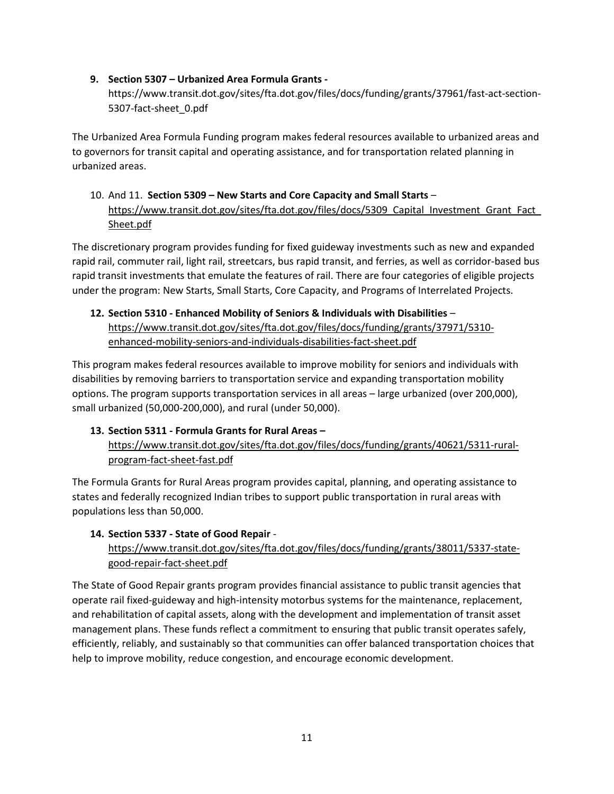#### **9. Section 5307 – Urbanized Area Formula Grants -**

https://www.transit.dot.gov/sites/fta.dot.gov/files/docs/funding/grants/37961/fast-act-section-5307-fact-sheet\_0.pdf

The Urbanized Area Formula Funding program makes federal resources available to urbanized areas and to governors for transit capital and operating assistance, and for transportation related planning in urbanized areas.

## 10. And 11. **Section 5309 – New Starts and Core Capacity and Small Starts** – https://www.transit.dot.gov/sites/fta.dot.gov/files/docs/5309 Capital Investment Grant Fact [Sheet.pdf](https://www.transit.dot.gov/sites/fta.dot.gov/files/docs/5309_Capital_Investment_Grant_Fact_Sheet.pdf)

The discretionary program provides funding for fixed guideway investments such as new and expanded rapid rail, commuter rail, light rail, streetcars, bus rapid transit, and ferries, as well as corridor-based bus rapid transit investments that emulate the features of rail. There are four categories of eligible projects under the program: New Starts, Small Starts, Core Capacity, and Programs of Interrelated Projects.

**12. Section 5310 - Enhanced Mobility of Seniors & Individuals with Disabilities** – [https://www.transit.dot.gov/sites/fta.dot.gov/files/docs/funding/grants/37971/5310](https://www.transit.dot.gov/sites/fta.dot.gov/files/docs/funding/grants/37971/5310-enhanced-mobility-seniors-and-individuals-disabilities-fact-sheet.pdf) [enhanced-mobility-seniors-and-individuals-disabilities-fact-sheet.pdf](https://www.transit.dot.gov/sites/fta.dot.gov/files/docs/funding/grants/37971/5310-enhanced-mobility-seniors-and-individuals-disabilities-fact-sheet.pdf)

This program makes federal resources available to improve mobility for seniors and individuals with disabilities by removing barriers to transportation service and expanding transportation mobility options. The program supports transportation services in all areas – large urbanized (over 200,000), small urbanized (50,000-200,000), and rural (under 50,000).

## **13. Section 5311 - Formula Grants for Rural Areas –** [https://www.transit.dot.gov/sites/fta.dot.gov/files/docs/funding/grants/40621/5311-rural](https://www.transit.dot.gov/sites/fta.dot.gov/files/docs/funding/grants/40621/5311-rural-program-fact-sheet-fast.pdf)[program-fact-sheet-fast.pdf](https://www.transit.dot.gov/sites/fta.dot.gov/files/docs/funding/grants/40621/5311-rural-program-fact-sheet-fast.pdf)

The Formula Grants for Rural Areas program provides capital, planning, and operating assistance to states and federally recognized Indian tribes to support public transportation in rural areas with populations less than 50,000.

#### **14. Section 5337 - State of Good Repair** -

## [https://www.transit.dot.gov/sites/fta.dot.gov/files/docs/funding/grants/38011/5337-state](https://www.transit.dot.gov/sites/fta.dot.gov/files/docs/funding/grants/38011/5337-state-good-repair-fact-sheet.pdf)[good-repair-fact-sheet.pdf](https://www.transit.dot.gov/sites/fta.dot.gov/files/docs/funding/grants/38011/5337-state-good-repair-fact-sheet.pdf)

The State of Good Repair grants program provides financial assistance to public transit agencies that operate rail fixed-guideway and high-intensity motorbus systems for the maintenance, replacement, and rehabilitation of capital assets, along with the development and implementation of transit asset management plans. These funds reflect a commitment to ensuring that public transit operates safely, efficiently, reliably, and sustainably so that communities can offer balanced transportation choices that help to improve mobility, reduce congestion, and encourage economic development.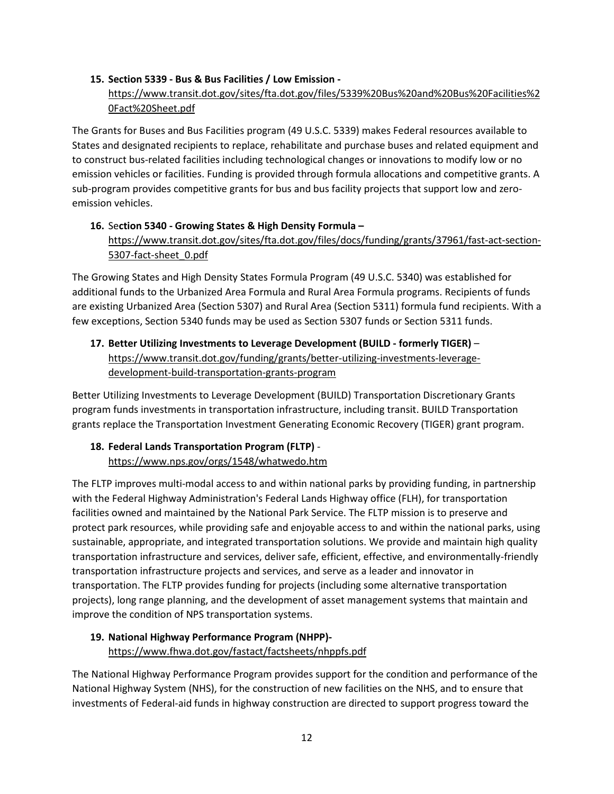#### **15. Section 5339 - Bus & Bus Facilities / Low Emission -**

## [https://www.transit.dot.gov/sites/fta.dot.gov/files/5339%20Bus%20and%20Bus%20Facilities%2](https://www.transit.dot.gov/sites/fta.dot.gov/files/5339%20Bus%20and%20Bus%20Facilities%20Fact%20Sheet.pdf) [0Fact%20Sheet.pdf](https://www.transit.dot.gov/sites/fta.dot.gov/files/5339%20Bus%20and%20Bus%20Facilities%20Fact%20Sheet.pdf)

The Grants for Buses and Bus Facilities program (49 U.S.C. 5339) makes Federal resources available to States and designated recipients to replace, rehabilitate and purchase buses and related equipment and to construct bus-related facilities including technological changes or innovations to modify low or no emission vehicles or facilities. Funding is provided through formula allocations and competitive grants. A sub-program provides competitive grants for bus and bus facility projects that support low and zeroemission vehicles.

#### **16.** Se**ction 5340 - Growing States & High Density Formula –** [https://www.transit.dot.gov/sites/fta.dot.gov/files/docs/funding/grants/37961/fast-act-section-](https://www.transit.dot.gov/sites/fta.dot.gov/files/docs/funding/grants/37961/fast-act-section-5307-fact-sheet_0.pdf)[5307-fact-sheet\\_0.pdf](https://www.transit.dot.gov/sites/fta.dot.gov/files/docs/funding/grants/37961/fast-act-section-5307-fact-sheet_0.pdf)

The Growing States and High Density States Formula Program (49 U.S.C. 5340) was established for additional funds to the Urbanized Area Formula and Rural Area Formula programs. Recipients of funds are existing Urbanized Area (Section 5307) and Rural Area (Section 5311) formula fund recipients. With a few exceptions, Section 5340 funds may be used as Section 5307 funds or Section 5311 funds.

## **17. Better Utilizing Investments to Leverage Development (BUILD - formerly TIGER)** – [https://www.transit.dot.gov/funding/grants/better-utilizing-investments-leverage](https://www.transit.dot.gov/funding/grants/better-utilizing-investments-leverage-development-build-transportation-grants-program)[development-build-transportation-grants-program](https://www.transit.dot.gov/funding/grants/better-utilizing-investments-leverage-development-build-transportation-grants-program)

Better Utilizing Investments to Leverage Development (BUILD) Transportation Discretionary Grants program funds investments in transportation infrastructure, including transit. BUILD Transportation grants replace the Transportation Investment Generating Economic Recovery (TIGER) grant program.

## **18. Federal Lands Transportation Program (FLTP)** <https://www.nps.gov/orgs/1548/whatwedo.htm>

The FLTP improves multi-modal access to and within national parks by providing funding, in partnership with the Federal Highway Administration's Federal Lands Highway office (FLH), for transportation facilities owned and maintained by the National Park Service. The FLTP mission is to preserve and protect park resources, while providing safe and enjoyable access to and within the national parks, using sustainable, appropriate, and integrated transportation solutions. We provide and maintain high quality transportation infrastructure and services, deliver safe, efficient, effective, and environmentally-friendly transportation infrastructure projects and services, and serve as a leader and innovator in transportation. The FLTP provides funding for projects (including some alternative transportation projects), long range planning, and the development of asset management systems that maintain and improve the condition of NPS transportation systems.

## **19. National Highway Performance Program (NHPP)** <https://www.fhwa.dot.gov/fastact/factsheets/nhppfs.pdf>

The National Highway Performance Program provides support for the condition and performance of the National Highway System (NHS), for the construction of new facilities on the NHS, and to ensure that investments of Federal-aid funds in highway construction are directed to support progress toward the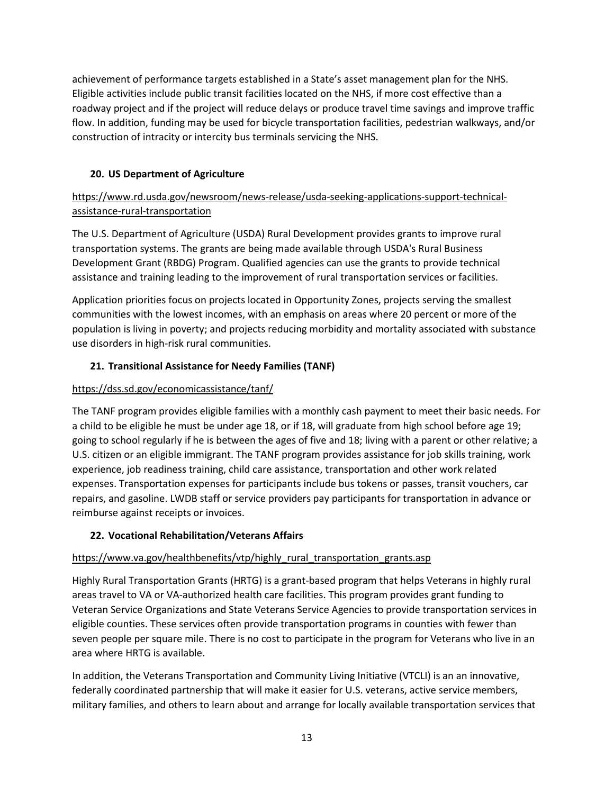achievement of performance targets established in a State's asset management plan for the NHS. Eligible activities include public transit facilities located on the NHS, if more cost effective than a roadway project and if the project will reduce delays or produce travel time savings and improve traffic flow. In addition, funding may be used for bicycle transportation facilities, pedestrian walkways, and/or construction of intracity or intercity bus terminals servicing the NHS.

## **20. US Department of Agriculture**

## [https://www.rd.usda.gov/newsroom/news-release/usda-seeking-applications-support-technical](https://www.rd.usda.gov/newsroom/news-release/usda-seeking-applications-support-technical-assistance-rural-transportation)[assistance-rural-transportation](https://www.rd.usda.gov/newsroom/news-release/usda-seeking-applications-support-technical-assistance-rural-transportation)

The U.S. Department of Agriculture (USDA) Rural Development provides grants to improve rural transportation systems. The grants are being made available through USDA's Rural Business Development Grant (RBDG) Program. Qualified agencies can use the grants to provide technical assistance and training leading to the improvement of rural transportation services or facilities.

Application priorities focus on projects located in Opportunity Zones, projects serving the smallest communities with the lowest incomes, with an emphasis on areas where 20 percent or more of the population is living in poverty; and projects reducing morbidity and mortality associated with substance use disorders in high-risk rural communities.

## **21. Transitional Assistance for Needy Families (TANF)**

## <https://dss.sd.gov/economicassistance/tanf/>

The TANF program provides eligible families with a monthly cash payment to meet their basic needs. For a child to be eligible he must be under age 18, or if 18, will graduate from high school before age 19; going to school regularly if he is between the ages of five and 18; living with a parent or other relative; a U.S. citizen or an eligible immigrant. The TANF program provides assistance for job skills training, work experience, job readiness training, child care assistance, transportation and other work related expenses. Transportation expenses for participants include bus tokens or passes, transit vouchers, car repairs, and gasoline. LWDB staff or service providers pay participants for transportation in advance or reimburse against receipts or invoices.

#### **22. Vocational Rehabilitation/Veterans Affairs**

#### [https://www.va.gov/healthbenefits/vtp/highly\\_rural\\_transportation\\_grants.asp](https://www.va.gov/healthbenefits/vtp/highly_rural_transportation_grants.asp)

Highly Rural Transportation Grants (HRTG) is a grant-based program that helps Veterans in highly rural areas travel to VA or VA-authorized health care facilities. This program provides grant funding to Veteran Service Organizations and State Veterans Service Agencies to provide transportation services in eligible counties. These services often provide transportation programs in counties with fewer than seven people per square mile. There is no cost to participate in the program for Veterans who live in an area where HRTG is available.

In addition, the Veterans Transportation and Community Living Initiative (VTCLI) is an an innovative, federally coordinated partnership that will make it easier for U.S. veterans, active service members, military families, and others to learn about and arrange for locally available transportation services that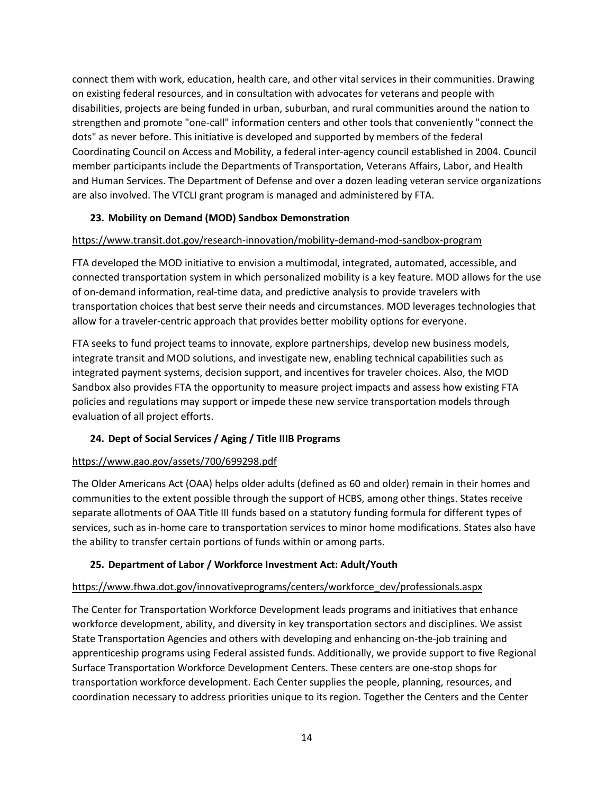connect them with work, education, health care, and other vital services in their communities. Drawing on existing federal resources, and in consultation with advocates for veterans and people with disabilities, projects are being funded in urban, suburban, and rural communities around the nation to strengthen and promote "one-call" information centers and other tools that conveniently "connect the dots" as never before. This initiative is developed and supported by members of the federal Coordinating Council on Access and Mobility, a federal inter-agency council established in 2004. Council member participants include the Departments of Transportation, Veterans Affairs, Labor, and Health and Human Services. The Department of Defense and over a dozen leading veteran service organizations are also involved. The VTCLI grant program is managed and administered by FTA.

## **23. Mobility on Demand (MOD) Sandbox Demonstration**

#### <https://www.transit.dot.gov/research-innovation/mobility-demand-mod-sandbox-program>

FTA developed the MOD initiative to envision a multimodal, integrated, automated, accessible, and connected transportation system in which personalized mobility is a key feature. MOD allows for the use of on-demand information, real-time data, and predictive analysis to provide travelers with transportation choices that best serve their needs and circumstances. MOD leverages technologies that allow for a traveler-centric approach that provides better mobility options for everyone.

FTA seeks to fund project teams to innovate, explore partnerships, develop new business models, integrate transit and MOD solutions, and investigate new, enabling technical capabilities such as integrated payment systems, decision support, and incentives for traveler choices. Also, the MOD Sandbox also provides FTA the opportunity to measure project impacts and assess how existing FTA policies and regulations may support or impede these new service transportation models through evaluation of all project efforts.

#### **24. Dept of Social Services / Aging / Title IIIB Programs**

#### <https://www.gao.gov/assets/700/699298.pdf>

The Older Americans Act (OAA) helps older adults (defined as 60 and older) remain in their homes and communities to the extent possible through the support of HCBS, among other things. States receive separate allotments of OAA Title III funds based on a statutory funding formula for different types of services, such as in-home care to transportation services to minor home modifications. States also have the ability to transfer certain portions of funds within or among parts.

#### **25. Department of Labor / Workforce Investment Act: Adult/Youth**

#### [https://www.fhwa.dot.gov/innovativeprograms/centers/workforce\\_dev/professionals.aspx](https://www.fhwa.dot.gov/innovativeprograms/centers/workforce_dev/professionals.aspx)

The Center for Transportation Workforce Development leads programs and initiatives that enhance workforce development, ability, and diversity in key transportation sectors and disciplines. We assist State Transportation Agencies and others with developing and enhancing on-the-job training and apprenticeship programs using Federal assisted funds. Additionally, we provide support to five Regional Surface Transportation Workforce Development Centers. These centers are one-stop shops for transportation workforce development. Each Center supplies the people, planning, resources, and coordination necessary to address priorities unique to its region. Together the Centers and the Center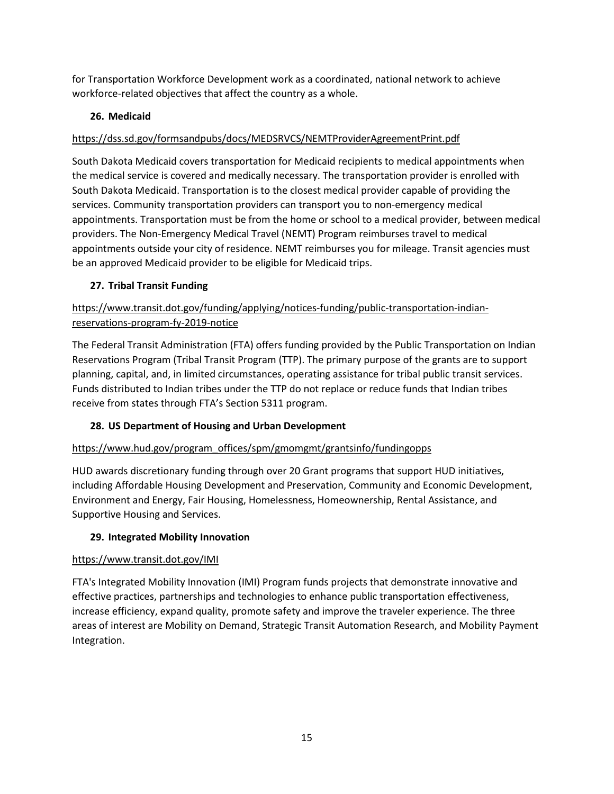for Transportation Workforce Development work as a coordinated, national network to achieve workforce-related objectives that affect the country as a whole.

## **26. Medicaid**

## <https://dss.sd.gov/formsandpubs/docs/MEDSRVCS/NEMTProviderAgreementPrint.pdf>

South Dakota Medicaid covers transportation for Medicaid recipients to medical appointments when the medical service is covered and medically necessary. The transportation provider is enrolled with South Dakota Medicaid. Transportation is to the closest medical provider capable of providing the services. Community transportation providers can transport you to non-emergency medical appointments. Transportation must be from the home or school to a medical provider, between medical providers. The Non-Emergency Medical Travel (NEMT) Program reimburses travel to medical appointments outside your city of residence. NEMT reimburses you for mileage. Transit agencies must be an approved Medicaid provider to be eligible for Medicaid trips.

## **27. Tribal Transit Funding**

## [https://www.transit.dot.gov/funding/applying/notices-funding/public-transportation-indian](https://www.transit.dot.gov/funding/applying/notices-funding/public-transportation-indian-reservations-program-fy-2019-notice)[reservations-program-fy-2019-notice](https://www.transit.dot.gov/funding/applying/notices-funding/public-transportation-indian-reservations-program-fy-2019-notice)

The Federal Transit Administration (FTA) offers funding provided by the Public Transportation on Indian Reservations Program (Tribal Transit Program (TTP). The primary purpose of the grants are to support planning, capital, and, in limited circumstances, operating assistance for tribal public transit services. Funds distributed to Indian tribes under the TTP do not replace or reduce funds that Indian tribes receive from states through FTA's Section 5311 program.

## **28. US Department of Housing and Urban Development**

## [https://www.hud.gov/program\\_offices/spm/gmomgmt/grantsinfo/fundingopps](https://www.hud.gov/program_offices/spm/gmomgmt/grantsinfo/fundingopps)

HUD awards discretionary funding through over 20 Grant programs that support HUD initiatives, including Affordable Housing Development and Preservation, Community and Economic Development, Environment and Energy, Fair Housing, Homelessness, Homeownership, Rental Assistance, and Supportive Housing and Services.

## **29. Integrated Mobility Innovation**

## <https://www.transit.dot.gov/IMI>

FTA's Integrated Mobility Innovation (IMI) Program funds projects that demonstrate innovative and effective practices, partnerships and technologies to enhance public transportation effectiveness, increase efficiency, expand quality, promote safety and improve the traveler experience. The three areas of interest are Mobility on Demand, Strategic Transit Automation Research, and Mobility Payment Integration.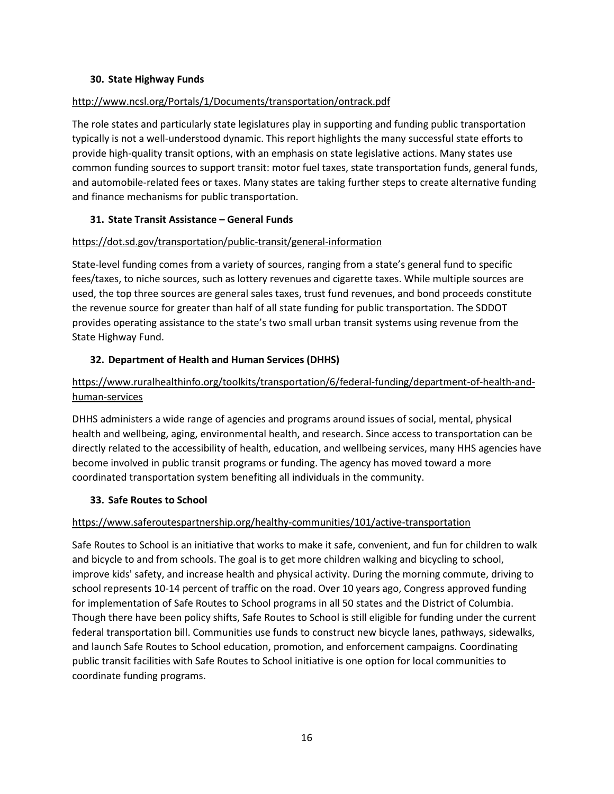#### **30. State Highway Funds**

#### <http://www.ncsl.org/Portals/1/Documents/transportation/ontrack.pdf>

The role states and particularly state legislatures play in supporting and funding public transportation typically is not a well-understood dynamic. This report highlights the many successful state efforts to provide high-quality transit options, with an emphasis on state legislative actions. Many states use common funding sources to support transit: motor fuel taxes, state transportation funds, general funds, and automobile-related fees or taxes. Many states are taking further steps to create alternative funding and finance mechanisms for public transportation.

#### **31. State Transit Assistance – General Funds**

#### <https://dot.sd.gov/transportation/public-transit/general-information>

State-level funding comes from a variety of sources, ranging from a state's general fund to specific fees/taxes, to niche sources, such as lottery revenues and cigarette taxes. While multiple sources are used, the top three sources are general sales taxes, trust fund revenues, and bond proceeds constitute the revenue source for greater than half of all state funding for public transportation. The SDDOT provides operating assistance to the state's two small urban transit systems using revenue from the State Highway Fund.

#### **32. Department of Health and Human Services (DHHS)**

## [https://www.ruralhealthinfo.org/toolkits/transportation/6/federal-funding/department-of-health-and](https://www.ruralhealthinfo.org/toolkits/transportation/6/federal-funding/department-of-health-and-human-services)[human-services](https://www.ruralhealthinfo.org/toolkits/transportation/6/federal-funding/department-of-health-and-human-services)

DHHS administers a wide range of agencies and programs around issues of social, mental, physical health and wellbeing, aging, environmental health, and research. Since access to transportation can be directly related to the accessibility of health, education, and wellbeing services, many HHS agencies have become involved in public transit programs or funding. The agency has moved toward a more coordinated transportation system benefiting all individuals in the community.

#### **33. Safe Routes to School**

#### <https://www.saferoutespartnership.org/healthy-communities/101/active-transportation>

Safe Routes to School is an initiative that works to make it safe, convenient, and fun for children to walk and bicycle to and from schools. The goal is to get more children walking and bicycling to school, improve kids' safety, and increase health and physical activity. During the morning commute, driving to school represents 10-14 percent of traffic on the road. Over 10 years ago, Congress approved funding for implementation of Safe Routes to School programs in all 50 states and the District of Columbia. Though there have been policy shifts, Safe Routes to School is still eligible for funding under the current federal transportation bill. Communities use funds to construct new bicycle lanes, pathways, sidewalks, and launch Safe Routes to School education, promotion, and enforcement campaigns. Coordinating public transit facilities with Safe Routes to School initiative is one option for local communities to coordinate funding programs.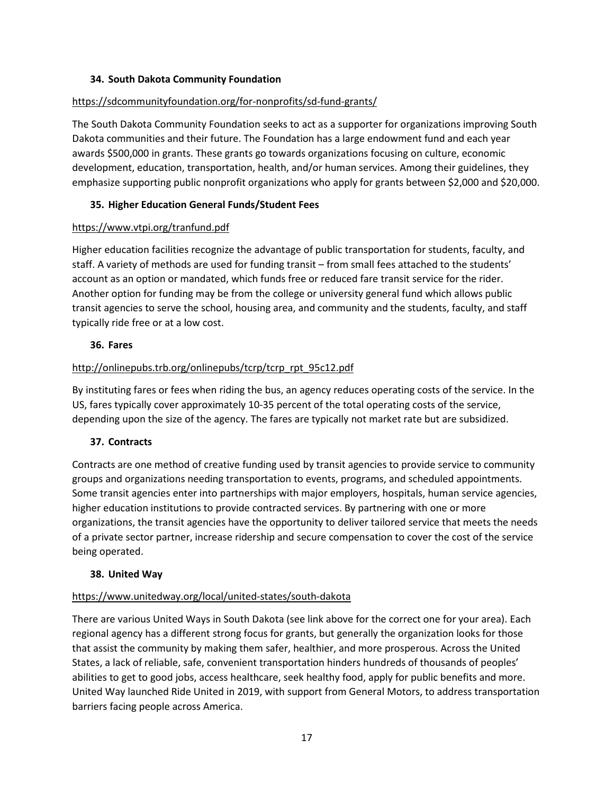#### **34. South Dakota Community Foundation**

#### <https://sdcommunityfoundation.org/for-nonprofits/sd-fund-grants/>

The South Dakota Community Foundation seeks to act as a supporter for organizations improving South Dakota communities and their future. The Foundation has a large endowment fund and each year awards \$500,000 in grants. These grants go towards organizations focusing on culture, economic development, education, transportation, health, and/or human services. Among their guidelines, they emphasize supporting public nonprofit organizations who apply for grants between \$2,000 and \$20,000.

#### **35. Higher Education General Funds/Student Fees**

#### <https://www.vtpi.org/tranfund.pdf>

Higher education facilities recognize the advantage of public transportation for students, faculty, and staff. A variety of methods are used for funding transit – from small fees attached to the students' account as an option or mandated, which funds free or reduced fare transit service for the rider. Another option for funding may be from the college or university general fund which allows public transit agencies to serve the school, housing area, and community and the students, faculty, and staff typically ride free or at a low cost.

#### **36. Fares**

#### [http://onlinepubs.trb.org/onlinepubs/tcrp/tcrp\\_rpt\\_95c12.pdf](http://onlinepubs.trb.org/onlinepubs/tcrp/tcrp_rpt_95c12.pdf)

By instituting fares or fees when riding the bus, an agency reduces operating costs of the service. In the US, fares typically cover approximately 10-35 percent of the total operating costs of the service, depending upon the size of the agency. The fares are typically not market rate but are subsidized.

#### **37. Contracts**

Contracts are one method of creative funding used by transit agencies to provide service to community groups and organizations needing transportation to events, programs, and scheduled appointments. Some transit agencies enter into partnerships with major employers, hospitals, human service agencies, higher education institutions to provide contracted services. By partnering with one or more organizations, the transit agencies have the opportunity to deliver tailored service that meets the needs of a private sector partner, increase ridership and secure compensation to cover the cost of the service being operated.

#### **38. United Way**

#### <https://www.unitedway.org/local/united-states/south-dakota>

There are various United Ways in South Dakota (see link above for the correct one for your area). Each regional agency has a different strong focus for grants, but generally the organization looks for those that assist the community by making them safer, healthier, and more prosperous. Across the United States, a lack of reliable, safe, convenient transportation hinders hundreds of thousands of peoples' abilities to get to good jobs, access healthcare, seek healthy food, apply for public benefits and more. United Way launched Ride United in 2019, with support from General Motors, to address transportation barriers facing people across America.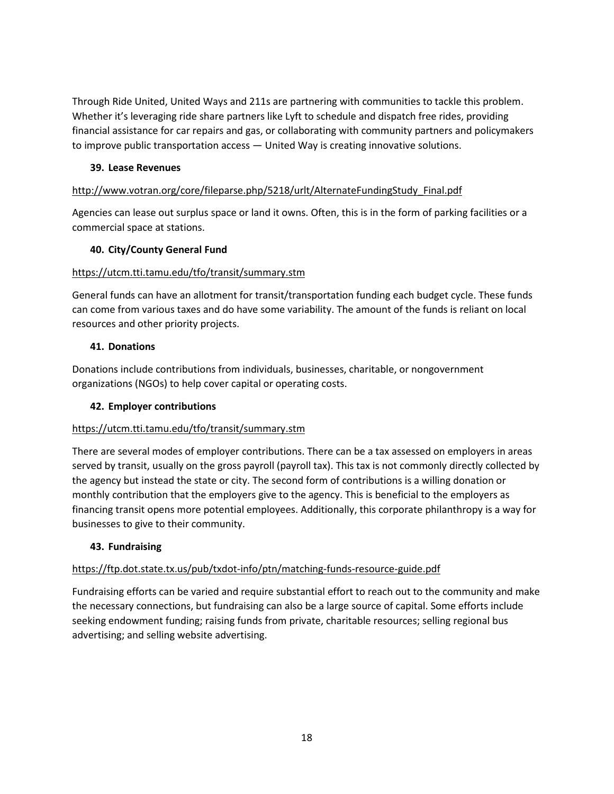Through Ride United, United Ways and 211s are partnering with communities to tackle this problem. Whether it's leveraging ride share partners like Lyft to schedule and dispatch free rides, providing financial assistance for car repairs and gas, or collaborating with community partners and policymakers to improve public transportation access — United Way is creating innovative solutions.

#### **39. Lease Revenues**

#### [http://www.votran.org/core/fileparse.php/5218/urlt/AlternateFundingStudy\\_Final.pdf](http://www.votran.org/core/fileparse.php/5218/urlt/AlternateFundingStudy_Final.pdf)

Agencies can lease out surplus space or land it owns. Often, this is in the form of parking facilities or a commercial space at stations.

#### **40. City/County General Fund**

#### <https://utcm.tti.tamu.edu/tfo/transit/summary.stm>

General funds can have an allotment for transit/transportation funding each budget cycle. These funds can come from various taxes and do have some variability. The amount of the funds is reliant on local resources and other priority projects.

#### **41. Donations**

Donations include contributions from individuals, businesses, charitable, or nongovernment organizations (NGOs) to help cover capital or operating costs.

#### **42. Employer contributions**

#### <https://utcm.tti.tamu.edu/tfo/transit/summary.stm>

There are several modes of employer contributions. There can be a tax assessed on employers in areas served by transit, usually on the gross payroll (payroll tax). This tax is not commonly directly collected by the agency but instead the state or city. The second form of contributions is a willing donation or monthly contribution that the employers give to the agency. This is beneficial to the employers as financing transit opens more potential employees. Additionally, this corporate philanthropy is a way for businesses to give to their community.

#### **43. Fundraising**

#### <https://ftp.dot.state.tx.us/pub/txdot-info/ptn/matching-funds-resource-guide.pdf>

Fundraising efforts can be varied and require substantial effort to reach out to the community and make the necessary connections, but fundraising can also be a large source of capital. Some efforts include seeking endowment funding; raising funds from private, charitable resources; selling regional bus advertising; and selling website advertising.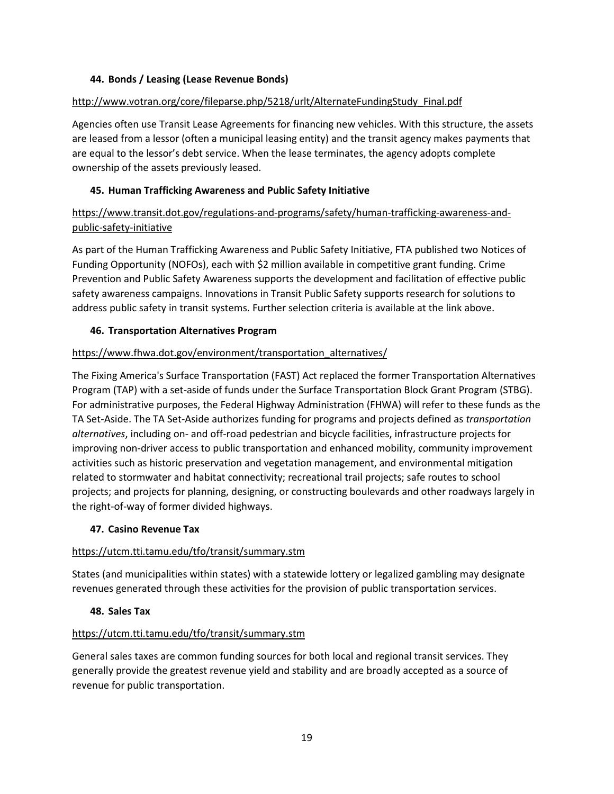#### **44. Bonds / Leasing (Lease Revenue Bonds)**

## [http://www.votran.org/core/fileparse.php/5218/urlt/AlternateFundingStudy\\_Final.pdf](http://www.votran.org/core/fileparse.php/5218/urlt/AlternateFundingStudy_Final.pdf)

Agencies often use Transit Lease Agreements for financing new vehicles. With this structure, the assets are leased from a lessor (often a municipal leasing entity) and the transit agency makes payments that are equal to the lessor's debt service. When the lease terminates, the agency adopts complete ownership of the assets previously leased.

## **45. Human Trafficking Awareness and Public Safety Initiative**

## [https://www.transit.dot.gov/regulations-and-programs/safety/human-trafficking-awareness-and](https://www.transit.dot.gov/regulations-and-programs/safety/human-trafficking-awareness-and-public-safety-initiative)[public-safety-initiative](https://www.transit.dot.gov/regulations-and-programs/safety/human-trafficking-awareness-and-public-safety-initiative)

As part of the Human Trafficking Awareness and Public Safety Initiative, FTA published two Notices of Funding Opportunity (NOFOs), each with \$2 million available in competitive grant funding[. Crime](https://www.transit.dot.gov/funding/applying/notices-funding/crime-prevention-and-public-safety-awareness-fy-2019-notice-funding)  [Prevention and Public Safety Awareness](https://www.transit.dot.gov/funding/applying/notices-funding/crime-prevention-and-public-safety-awareness-fy-2019-notice-funding) supports the development and facilitation of effective public safety awareness campaigns. [Innovations in Transit Public Safety](https://www.transit.dot.gov/funding/applying/notices-funding/innovations-transit-public-safety-fy-2019-notice-funding) supports research for solutions to address public safety in transit systems. Further selection criteria is available at the link above.

#### **46. Transportation Alternatives Program**

## [https://www.fhwa.dot.gov/environment/transportation\\_alternatives/](https://www.fhwa.dot.gov/environment/transportation_alternatives/)

The [Fixing America's Surface Transportation \(FAST\) Act](https://www.fhwa.dot.gov/fastact/) replaced the former Transportation Alternatives Program (TAP) with a set-aside of funds under the [Surface Transportation Block Grant Program](https://www.fhwa.dot.gov/specialfunding/stp/160307.cfm) (STBG). For administrative purposes, the Federal Highway Administration (FHWA) will refer to these funds as the TA Set-Aside. The TA Set-Aside authorizes funding for programs and projects defined as *transportation alternatives*, including on- and off-road pedestrian and bicycle facilities, infrastructure projects for improving non-driver access to public transportation and enhanced mobility, community improvement activities such as historic preservation and vegetation management, and environmental mitigation related to stormwater and habitat connectivity; recreational trail projects; safe routes to school projects; and projects for planning, designing, or constructing boulevards and other roadways largely in the right-of-way of former divided highways.

#### **47. Casino Revenue Tax**

#### <https://utcm.tti.tamu.edu/tfo/transit/summary.stm>

States (and municipalities within states) with a statewide lottery or legalized gambling may designate revenues generated through these activities for the provision of public transportation services.

#### **48. Sales Tax**

#### <https://utcm.tti.tamu.edu/tfo/transit/summary.stm>

General sales taxes are common funding sources for both local and regional transit services. They generally provide the greatest revenue yield and stability and are broadly accepted as a source of revenue for public transportation.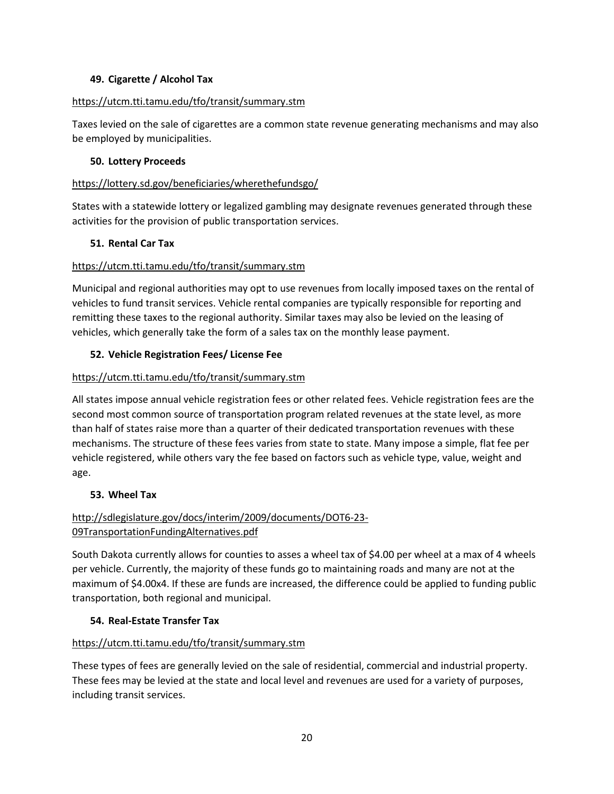#### **49. Cigarette / Alcohol Tax**

#### <https://utcm.tti.tamu.edu/tfo/transit/summary.stm>

Taxes levied on the sale of cigarettes are a common state revenue generating mechanisms and may also be employed by municipalities.

#### **50. Lottery Proceeds**

#### <https://lottery.sd.gov/beneficiaries/wherethefundsgo/>

States with a statewide lottery or legalized gambling may designate revenues generated through these activities for the provision of public transportation services.

#### **51. Rental Car Tax**

#### <https://utcm.tti.tamu.edu/tfo/transit/summary.stm>

Municipal and regional authorities may opt to use revenues from locally imposed taxes on the rental of vehicles to fund transit services. Vehicle rental companies are typically responsible for reporting and remitting these taxes to the regional authority. Similar taxes may also be levied on the leasing of vehicles, which generally take the form of a sales tax on the monthly lease payment.

#### **52. Vehicle Registration Fees/ License Fee**

#### <https://utcm.tti.tamu.edu/tfo/transit/summary.stm>

All states impose annual vehicle registration fees or other related fees. Vehicle registration fees are the second most common source of transportation program related revenues at the state level, as more than half of states raise more than a quarter of their dedicated transportation revenues with these mechanisms. The structure of these fees varies from state to state. Many impose a simple, flat fee per vehicle registered, while others vary the fee based on factors such as vehicle type, value, weight and age.

#### **53. Wheel Tax**

## [http://sdlegislature.gov/docs/interim/2009/documents/DOT6-23-](http://sdlegislature.gov/docs/interim/2009/documents/DOT6-23-09TransportationFundingAlternatives.pdf) [09TransportationFundingAlternatives.pdf](http://sdlegislature.gov/docs/interim/2009/documents/DOT6-23-09TransportationFundingAlternatives.pdf)

South Dakota currently allows for counties to asses a wheel tax of \$4.00 per wheel at a max of 4 wheels per vehicle. Currently, the majority of these funds go to maintaining roads and many are not at the maximum of \$4.00x4. If these are funds are increased, the difference could be applied to funding public transportation, both regional and municipal.

#### **54. Real-Estate Transfer Tax**

#### <https://utcm.tti.tamu.edu/tfo/transit/summary.stm>

These types of fees are generally levied on the sale of residential, commercial and industrial property. These fees may be levied at the state and local level and revenues are used for a variety of purposes, including transit services.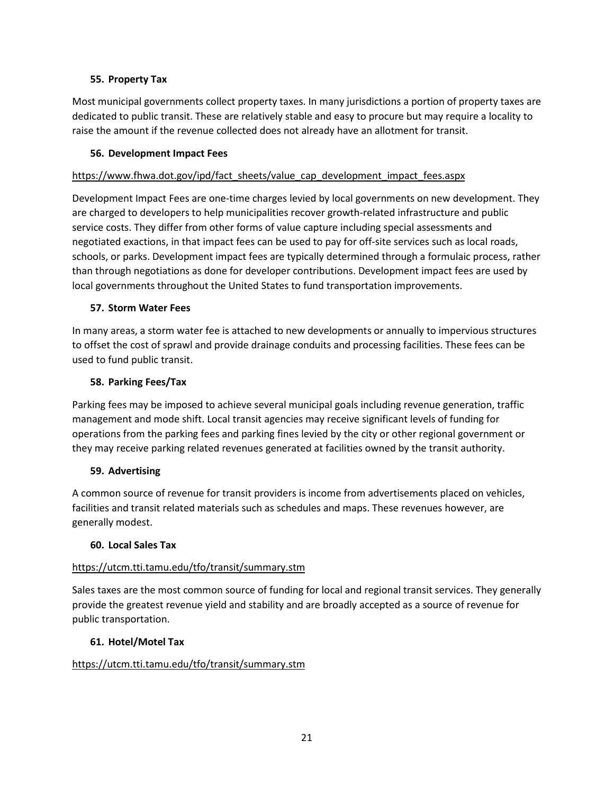#### **55. Property Tax**

Most municipal governments collect property taxes. In many jurisdictions a portion of property taxes are dedicated to public transit. These are relatively stable and easy to procure but may require a locality to raise the amount if the revenue collected does not already have an allotment for transit.

#### **56. Development Impact Fees**

#### [https://www.fhwa.dot.gov/ipd/fact\\_sheets/value\\_cap\\_development\\_impact\\_fees.aspx](https://www.fhwa.dot.gov/ipd/fact_sheets/value_cap_development_impact_fees.aspx)

Development Impact Fees are one-time charges levied by local governments on new development. They are charged to developers to help municipalities recover growth-related infrastructure and public service costs. They differ from other forms of value capture including special assessments and negotiated exactions, in that impact fees can be used to pay for off-site services such as local roads, schools, or parks. Development impact fees are typically determined through a formulaic process, rather than through negotiations as done for developer contributions. Development impact fees are used by local governments throughout the United States to fund transportation improvements.

#### **57. Storm Water Fees**

In many areas, a storm water fee is attached to new developments or annually to impervious structures to offset the cost of sprawl and provide drainage conduits and processing facilities. These fees can be used to fund public transit.

#### **58. Parking Fees/Tax**

Parking fees may be imposed to achieve several municipal goals including revenue generation, traffic management and mode shift. Local transit agencies may receive significant levels of funding for operations from the parking fees and parking fines levied by the city or other regional government or they may receive parking related revenues generated at facilities owned by the transit authority.

#### **59. Advertising**

A common source of revenue for transit providers is income from advertisements placed on vehicles, facilities and transit related materials such as schedules and maps. These revenues however, are generally modest.

#### **60. Local Sales Tax**

#### <https://utcm.tti.tamu.edu/tfo/transit/summary.stm>

Sales taxes are the most common source of funding for local and regional transit services. They generally provide the greatest revenue yield and stability and are broadly accepted as a source of revenue for public transportation.

#### **61. Hotel/Motel Tax**

#### <https://utcm.tti.tamu.edu/tfo/transit/summary.stm>